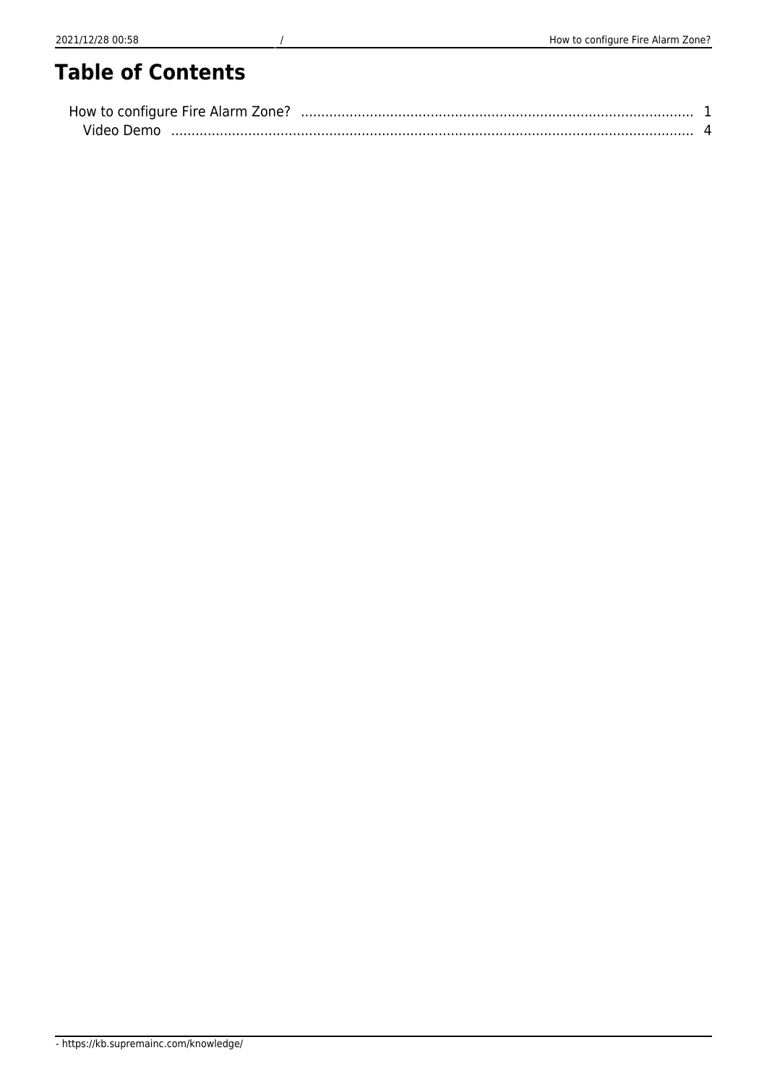## **Table of Contents**

| How to configure Fire Alarm Zone? |  |
|-----------------------------------|--|
| Video Demo                        |  |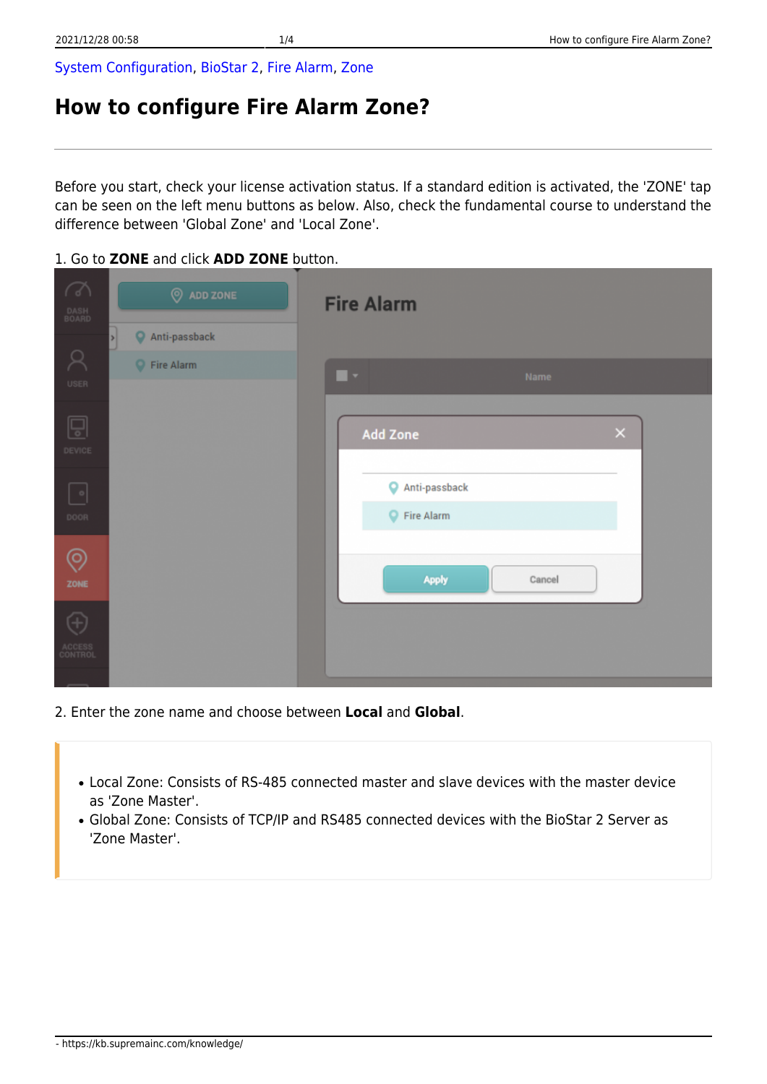[System Configuration,](https://kb.supremainc.com/knowledge/doku.php?id=tag:system_configuration&do=showtag&tag=System_Configuration) [BioStar 2](https://kb.supremainc.com/knowledge/doku.php?id=tag:biostar_2&do=showtag&tag=BioStar_2), [Fire Alarm,](https://kb.supremainc.com/knowledge/doku.php?id=tag:fire_alarm&do=showtag&tag=Fire_Alarm) [Zone](https://kb.supremainc.com/knowledge/doku.php?id=tag:zone&do=showtag&tag=Zone)

## <span id="page-1-0"></span>**How to configure Fire Alarm Zone?**

Before you start, check your license activation status. If a standard edition is activated, the 'ZONE' tap can be seen on the left menu buttons as below. Also, check the fundamental course to understand the difference between 'Global Zone' and 'Local Zone'.

1. Go to **ZONE** and click **ADD ZONE** button.

| $\sqrt{2}$<br>DASH<br>BOARD | <b>O</b> ADD ZONE<br>Anti-passback | <b>Fire Alarm</b>           |
|-----------------------------|------------------------------------|-----------------------------|
| $\Box$<br>USER              | Fire Alarm                         | ٠.<br>Name                  |
| Ģ<br>DEVICE                 |                                    | $\times$<br>Add Zone        |
| $^{\circ}$<br>DOOR          |                                    | Anti-passback<br>Fire Alarm |
| ල<br>ZONE                   |                                    | Apply<br>Cancel             |
| Ŧ<br>ACCESS<br>CONTROL      |                                    |                             |

- 2. Enter the zone name and choose between **Local** and **Global**.
	- Local Zone: Consists of RS-485 connected master and slave devices with the master device as 'Zone Master'.
	- Global Zone: Consists of TCP/IP and RS485 connected devices with the BioStar 2 Server as 'Zone Master'.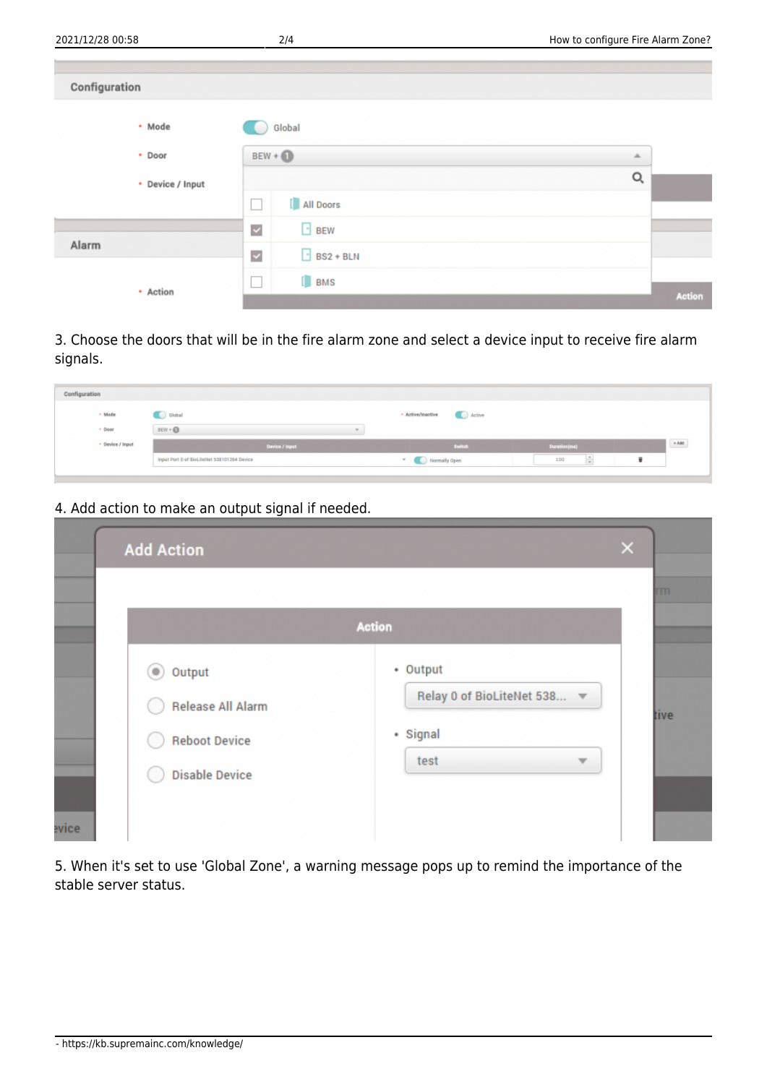| Configuration    |                                                    |        |
|------------------|----------------------------------------------------|--------|
| • Mode           | Global                                             |        |
| • Door           | $BEW + $                                           | ┻      |
| • Device / Input |                                                    | Q      |
|                  | [ All Doors<br>i.                                  |        |
|                  | $\Box$ BEW<br>$\checkmark$                         |        |
| Alarm            | $\overline{\phantom{a}}$ BS2 + BLN<br>$\checkmark$ |        |
|                  | [ BMS<br>×                                         |        |
| • Action         |                                                    | Action |

3. Choose the doors that will be in the fire alarm zone and select a device input to receive fire alarm signals.

| Configuration    |                                             |                             |              |                       |
|------------------|---------------------------------------------|-----------------------------|--------------|-----------------------|
| · Mode           | Global                                      | · Active/Inactive<br>Active |              |                       |
| · Door           | BEW + O<br>$\omega$                         |                             |              |                       |
| · Device / Input | Device / Input                              | Switch                      | Duration(ma) | _______<br>$\ast$ Add |
|                  | Input Port 0 of BioLiteNet 538101264 Device | Victor Normally Open        | 100          |                       |
|                  |                                             |                             |              |                       |

4. Add action to make an output signal if needed.

|                                                                                                       |                                                           | rm.  |
|-------------------------------------------------------------------------------------------------------|-----------------------------------------------------------|------|
|                                                                                                       | <b>Action</b>                                             |      |
| $\circledcirc$<br>Output<br><b>Release All Alarm</b><br><b>Reboot Device</b><br><b>Disable Device</b> | • Output<br>Relay 0 of BioLiteNet 538<br>• Signal<br>test | tive |

5. When it's set to use 'Global Zone', a warning message pops up to remind the importance of the stable server status.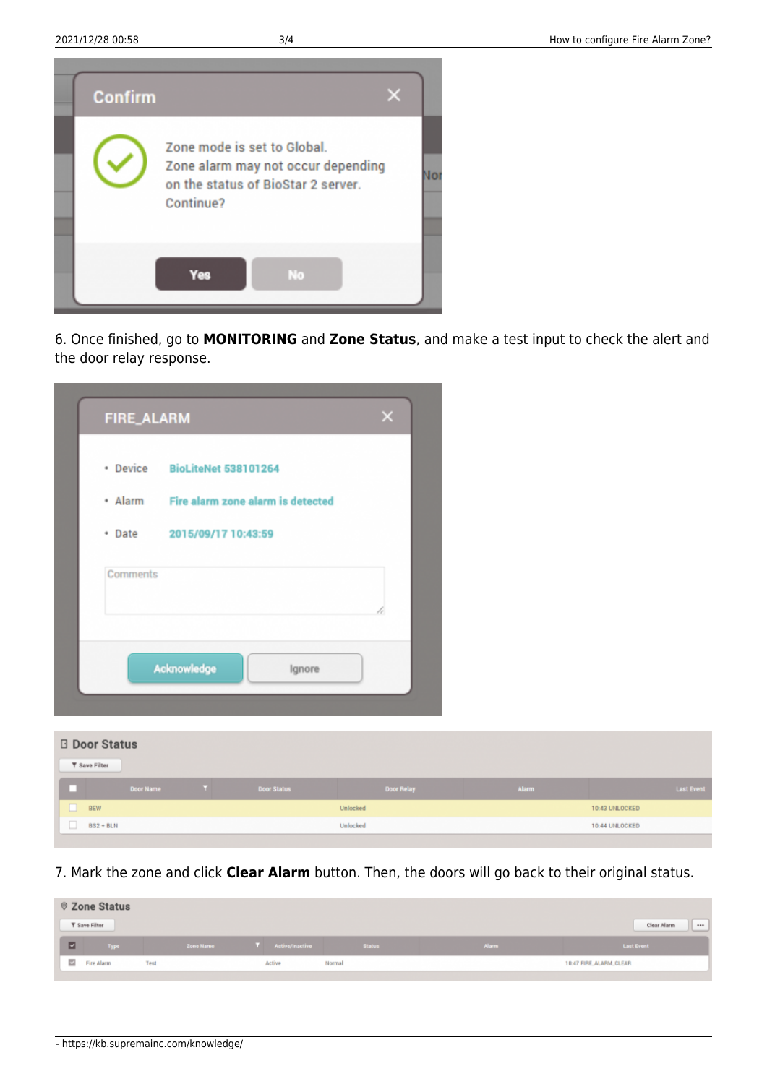

6. Once finished, go to **MONITORING** and **Zone Status**, and make a test input to check the alert and the door relay response.

|          | • Device BioLiteNet 538101264             |
|----------|-------------------------------------------|
|          | * Alarm Fire alarm zone alarm is detected |
|          | • Date 2015/09/17 10:43:59                |
| Comments |                                           |
|          | Acknowledge<br>Ignore                     |

| <b>Door Status</b> |                        |                  |     |                    |                   |              |                   |  |
|--------------------|------------------------|------------------|-----|--------------------|-------------------|--------------|-------------------|--|
|                    | <b>T</b> Save Filter   |                  |     |                    |                   |              |                   |  |
|                    |                        | <b>Door Name</b> | . . | <b>Door Status</b> | <b>Door Relay</b> | <b>Alarm</b> | <b>Last Event</b> |  |
|                    | <b>BEW</b><br>Unlocked |                  |     |                    |                   |              | 10:43 UNLOCKED    |  |
|                    | $BS2 + BLN$            |                  |     |                    | Unlocked          |              | 10:44 UNLOCKED    |  |

7. Mark the zone and click **Clear Alarm** button. Then, the doors will go back to their original status.

|                         | © Zone Status        |                  |                   |               |              |                        |
|-------------------------|----------------------|------------------|-------------------|---------------|--------------|------------------------|
|                         | <b>T</b> Save Filter |                  |                   |               |              | Clear Alarm<br>        |
| E                       | Type                 | <b>Zone Name</b> | T Active/Inactive | <b>Status</b> | <b>Alarm</b> | <b>Last Event</b>      |
| $\overline{\mathbf{z}}$ | Fire Alarm           | Test             | Active            | Normal        |              | 10:47 FIRE_ALARM_CLEAR |
|                         |                      |                  |                   |               |              |                        |